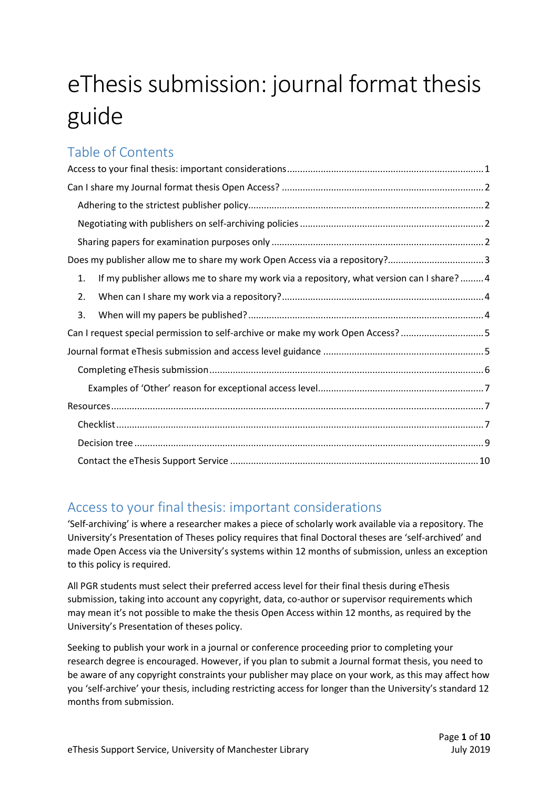# eThesis submission: journal format thesis guide

### Table of Contents

| Does my publisher allow me to share my work Open Access via a repository?3                     |
|------------------------------------------------------------------------------------------------|
| If my publisher allows me to share my work via a repository, what version can I share? 4<br>1. |
| 2.                                                                                             |
| 3.                                                                                             |
| Can I request special permission to self-archive or make my work Open Access? 5                |
|                                                                                                |
|                                                                                                |
|                                                                                                |
|                                                                                                |
|                                                                                                |
|                                                                                                |
|                                                                                                |

### Access to your final thesis: important considerations

'Self-archiving' is where a researcher makes a piece of scholarly work available via a repository. The University's Presentation of Theses policy requires that final Doctoral theses are 'self-archived' and made Open Access via the University's systems within 12 months of submission, unless an exception to this policy is required.

All PGR students must select their preferred access level for their final thesis during eThesis submission, taking into account any copyright, data, co-author or supervisor requirements which may mean it's not possible to make the thesis Open Access within 12 months, as required by the University's Presentation of theses policy.

Seeking to publish your work in a journal or conference proceeding prior to completing your research degree is encouraged. However, if you plan to submit a Journal format thesis, you need to be aware of any copyright constraints your publisher may place on your work, as this may affect how you 'self-archive' your thesis, including restricting access for longer than the University's standard 12 months from submission.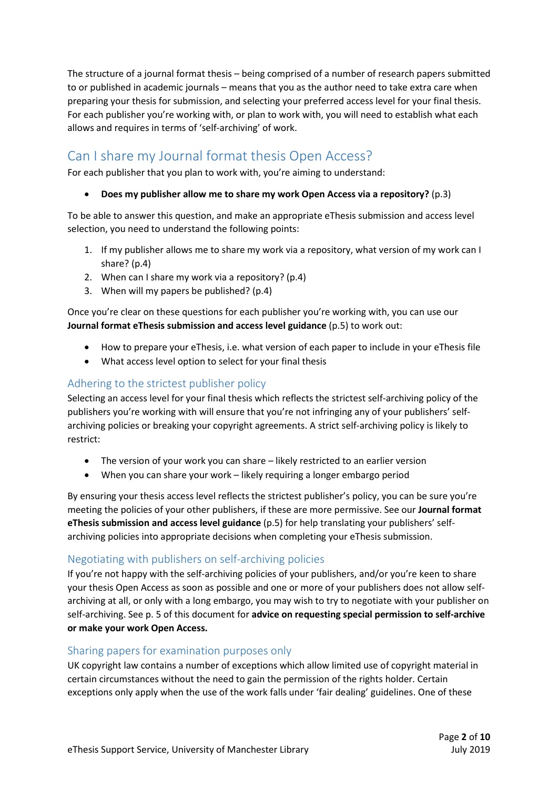The structure of a journal format thesis – being comprised of a number of research papers submitted to or published in academic journals – means that you as the author need to take extra care when preparing your thesis for submission, and selecting your preferred access level for your final thesis. For each publisher you're working with, or plan to work with, you will need to establish what each allows and requires in terms of 'self-archiving' of work.

## Can I share my Journal format thesis Open Access?

For each publisher that you plan to work with, you're aiming to understand:

Does my publisher allow me to share my work Open Access via a repository? (p.3)

To be able to answer this question, and make an appropriate eThesis submission and access level selection, you need to understand the following points:

- 1. If my publisher allows me to share my work via a repository, what version of my work can I share? (p.4)
- 2. When can I share my work via a repository? (p.4)
- 3. When will my papers be published? (p.4)

Once you're clear on these questions for each publisher you're working with, you can use our Journal format eThesis submission and access level guidance (p.5) to work out:

- How to prepare your eThesis, i.e. what version of each paper to include in your eThesis file
- What access level option to select for your final thesis

### Adhering to the strictest publisher policy

Selecting an access level for your final thesis which reflects the strictest self-archiving policy of the publishers you're working with will ensure that you're not infringing any of your publishers' selfarchiving policies or breaking your copyright agreements. A strict self-archiving policy is likely to restrict:

- The version of your work you can share likely restricted to an earlier version
- When you can share your work likely requiring a longer embargo period

By ensuring your thesis access level reflects the strictest publisher's policy, you can be sure you're meeting the policies of your other publishers, if these are more permissive. See our Journal format eThesis submission and access level guidance (p.5) for help translating your publishers' selfarchiving policies into appropriate decisions when completing your eThesis submission.

### Negotiating with publishers on self-archiving policies

If you're not happy with the self-archiving policies of your publishers, and/or you're keen to share your thesis Open Access as soon as possible and one or more of your publishers does not allow selfarchiving at all, or only with a long embargo, you may wish to try to negotiate with your publisher on self-archiving. See p. 5 of this document for advice on requesting special permission to self-archive or make your work Open Access.

### Sharing papers for examination purposes only

UK copyright law contains a number of exceptions which allow limited use of copyright material in certain circumstances without the need to gain the permission of the rights holder. Certain exceptions only apply when the use of the work falls under 'fair dealing' guidelines. One of these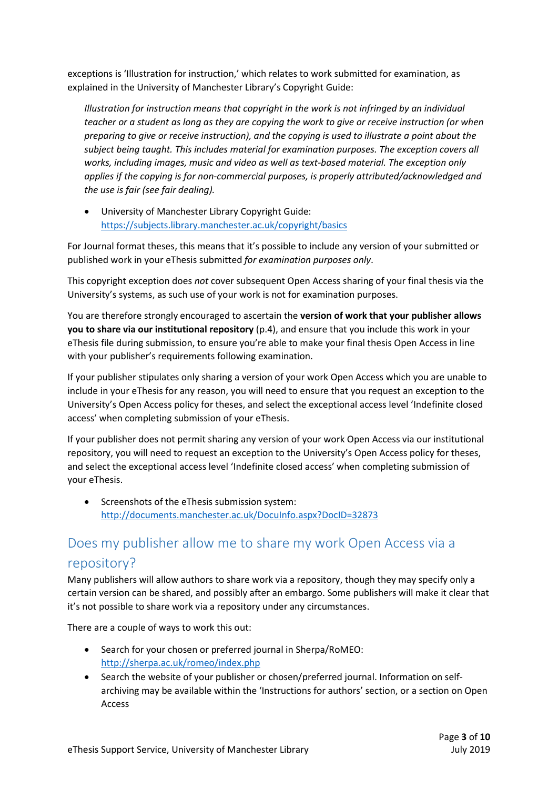exceptions is 'Illustration for instruction,' which relates to work submitted for examination, as explained in the University of Manchester Library's Copyright Guide:

Illustration for instruction means that copyright in the work is not infringed by an individual teacher or a student as long as they are copying the work to give or receive instruction (or when preparing to give or receive instruction), and the copying is used to illustrate a point about the subject being taught. This includes material for examination purposes. The exception covers all works, including images, music and video as well as text-based material. The exception only applies if the copying is for non-commercial purposes, is properly attributed/acknowledged and the use is fair (see fair dealing).

 University of Manchester Library Copyright Guide: https://subjects.library.manchester.ac.uk/copyright/basics

For Journal format theses, this means that it's possible to include any version of your submitted or published work in your eThesis submitted for examination purposes only.

This copyright exception does not cover subsequent Open Access sharing of your final thesis via the University's systems, as such use of your work is not for examination purposes.

You are therefore strongly encouraged to ascertain the version of work that your publisher allows you to share via our institutional repository (p.4), and ensure that you include this work in your eThesis file during submission, to ensure you're able to make your final thesis Open Access in line with your publisher's requirements following examination.

If your publisher stipulates only sharing a version of your work Open Access which you are unable to include in your eThesis for any reason, you will need to ensure that you request an exception to the University's Open Access policy for theses, and select the exceptional access level 'Indefinite closed access' when completing submission of your eThesis.

If your publisher does not permit sharing any version of your work Open Access via our institutional repository, you will need to request an exception to the University's Open Access policy for theses, and select the exceptional access level 'Indefinite closed access' when completing submission of your eThesis.

 Screenshots of the eThesis submission system: http://documents.manchester.ac.uk/DocuInfo.aspx?DocID=32873

# Does my publisher allow me to share my work Open Access via a repository?

Many publishers will allow authors to share work via a repository, though they may specify only a certain version can be shared, and possibly after an embargo. Some publishers will make it clear that it's not possible to share work via a repository under any circumstances.

There are a couple of ways to work this out:

- Search for your chosen or preferred journal in Sherpa/RoMEO: http://sherpa.ac.uk/romeo/index.php
- Search the website of your publisher or chosen/preferred journal. Information on selfarchiving may be available within the 'Instructions for authors' section, or a section on Open Access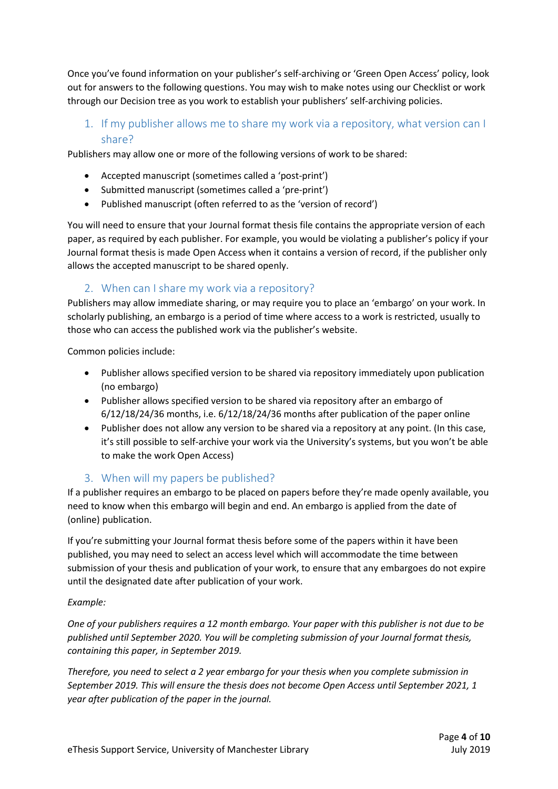Once you've found information on your publisher's self-archiving or 'Green Open Access' policy, look out for answers to the following questions. You may wish to make notes using our Checklist or work through our Decision tree as you work to establish your publishers' self-archiving policies.

1. If my publisher allows me to share my work via a repository, what version can I share?

Publishers may allow one or more of the following versions of work to be shared:

- Accepted manuscript (sometimes called a 'post-print')
- Submitted manuscript (sometimes called a 'pre-print')
- Published manuscript (often referred to as the 'version of record')

You will need to ensure that your Journal format thesis file contains the appropriate version of each paper, as required by each publisher. For example, you would be violating a publisher's policy if your Journal format thesis is made Open Access when it contains a version of record, if the publisher only allows the accepted manuscript to be shared openly.

### 2. When can I share my work via a repository?

Publishers may allow immediate sharing, or may require you to place an 'embargo' on your work. In scholarly publishing, an embargo is a period of time where access to a work is restricted, usually to those who can access the published work via the publisher's website.

Common policies include:

- Publisher allows specified version to be shared via repository immediately upon publication (no embargo)
- Publisher allows specified version to be shared via repository after an embargo of 6/12/18/24/36 months, i.e. 6/12/18/24/36 months after publication of the paper online
- Publisher does not allow any version to be shared via a repository at any point. (In this case, it's still possible to self-archive your work via the University's systems, but you won't be able to make the work Open Access)

### 3. When will my papers be published?

If a publisher requires an embargo to be placed on papers before they're made openly available, you need to know when this embargo will begin and end. An embargo is applied from the date of (online) publication.

If you're submitting your Journal format thesis before some of the papers within it have been published, you may need to select an access level which will accommodate the time between submission of your thesis and publication of your work, to ensure that any embargoes do not expire until the designated date after publication of your work.

#### Example:

One of your publishers requires a 12 month embargo. Your paper with this publisher is not due to be published until September 2020. You will be completing submission of your Journal format thesis, containing this paper, in September 2019.

Therefore, you need to select a 2 year embargo for your thesis when you complete submission in September 2019. This will ensure the thesis does not become Open Access until September 2021, 1 year after publication of the paper in the journal.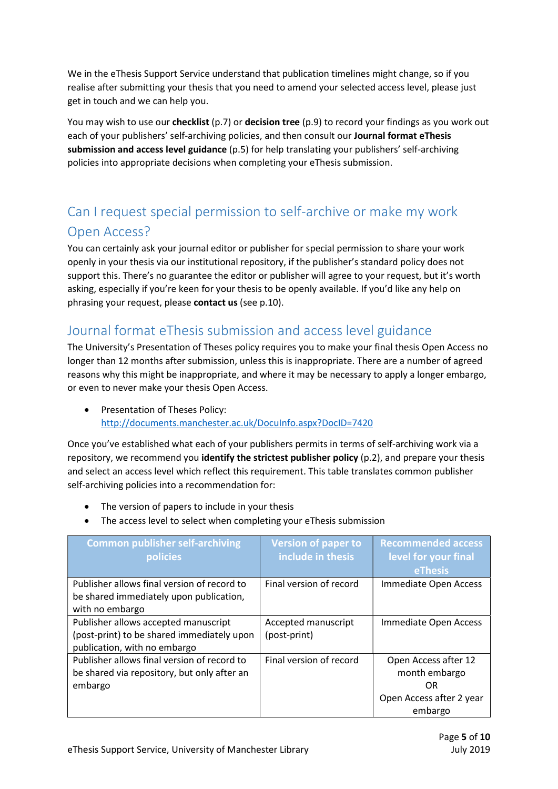We in the eThesis Support Service understand that publication timelines might change, so if you realise after submitting your thesis that you need to amend your selected access level, please just get in touch and we can help you.

You may wish to use our checklist (p.7) or decision tree (p.9) to record your findings as you work out each of your publishers' self-archiving policies, and then consult our **Journal format eThesis** submission and access level guidance (p.5) for help translating your publishers' self-archiving policies into appropriate decisions when completing your eThesis submission.

# Can I request special permission to self-archive or make my work Open Access?

You can certainly ask your journal editor or publisher for special permission to share your work openly in your thesis via our institutional repository, if the publisher's standard policy does not support this. There's no guarantee the editor or publisher will agree to your request, but it's worth asking, especially if you're keen for your thesis to be openly available. If you'd like any help on phrasing your request, please contact us (see p.10).

### Journal format eThesis submission and access level guidance

The University's Presentation of Theses policy requires you to make your final thesis Open Access no longer than 12 months after submission, unless this is inappropriate. There are a number of agreed reasons why this might be inappropriate, and where it may be necessary to apply a longer embargo, or even to never make your thesis Open Access.

• Presentation of Theses Policy: http://documents.manchester.ac.uk/DocuInfo.aspx?DocID=7420

Once you've established what each of your publishers permits in terms of self-archiving work via a repository, we recommend you identify the strictest publisher policy  $(p.2)$ , and prepare your thesis and select an access level which reflect this requirement. This table translates common publisher self-archiving policies into a recommendation for:

- The version of papers to include in your thesis
- The access level to select when completing your eThesis submission

| <b>Common publisher self-archiving</b><br>policies                                                                 | <b>Version of paper to</b><br>include in thesis | <b>Recommended access</b><br>level for your final<br><b>eThesis</b>                |
|--------------------------------------------------------------------------------------------------------------------|-------------------------------------------------|------------------------------------------------------------------------------------|
| Publisher allows final version of record to<br>be shared immediately upon publication,<br>with no embargo          | Final version of record                         | Immediate Open Access                                                              |
| Publisher allows accepted manuscript<br>(post-print) to be shared immediately upon<br>publication, with no embargo | Accepted manuscript<br>(post-print)             | Immediate Open Access                                                              |
| Publisher allows final version of record to<br>be shared via repository, but only after an<br>embargo              | Final version of record                         | Open Access after 12<br>month embargo<br>OR<br>Open Access after 2 year<br>embargo |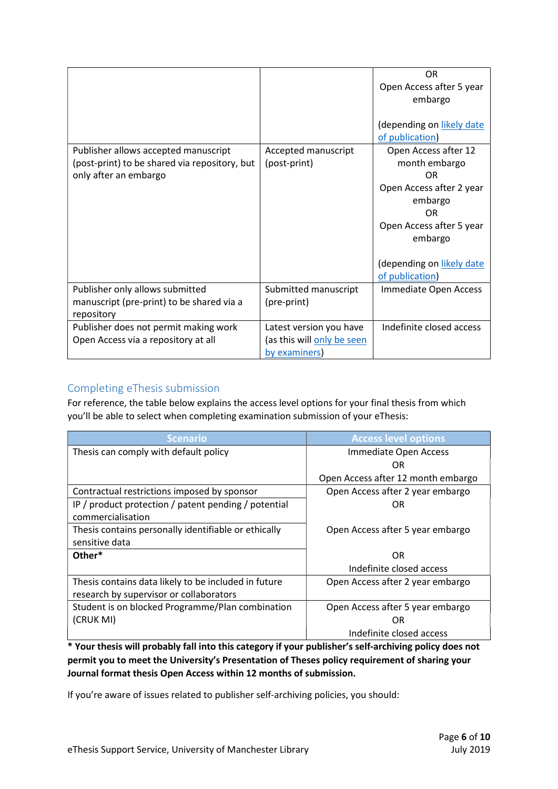|                                               |                            | <b>OR</b>                 |
|-----------------------------------------------|----------------------------|---------------------------|
|                                               |                            | Open Access after 5 year  |
|                                               |                            | embargo                   |
|                                               |                            |                           |
|                                               |                            | (depending on likely date |
|                                               |                            | of publication)           |
| Publisher allows accepted manuscript          | Accepted manuscript        | Open Access after 12      |
| (post-print) to be shared via repository, but | (post-print)               | month embargo             |
| only after an embargo                         |                            | 0R                        |
|                                               |                            | Open Access after 2 year  |
|                                               |                            | embargo                   |
|                                               |                            | OR                        |
|                                               |                            | Open Access after 5 year  |
|                                               |                            | embargo                   |
|                                               |                            |                           |
|                                               |                            | (depending on likely date |
|                                               |                            | of publication)           |
| Publisher only allows submitted               | Submitted manuscript       | Immediate Open Access     |
| manuscript (pre-print) to be shared via a     | (pre-print)                |                           |
| repository                                    |                            |                           |
| Publisher does not permit making work         | Latest version you have    | Indefinite closed access  |
| Open Access via a repository at all           | (as this will only be seen |                           |
|                                               | by examiners)              |                           |

### Completing eThesis submission

For reference, the table below explains the access level options for your final thesis from which you'll be able to select when completing examination submission of your eThesis:

| <b>Scenario</b>                                      | <b>Access level options</b>        |
|------------------------------------------------------|------------------------------------|
| Thesis can comply with default policy                | Immediate Open Access              |
|                                                      | OR                                 |
|                                                      | Open Access after 12 month embargo |
| Contractual restrictions imposed by sponsor          | Open Access after 2 year embargo   |
| IP / product protection / patent pending / potential | ΩR                                 |
| commercialisation                                    |                                    |
| Thesis contains personally identifiable or ethically | Open Access after 5 year embargo   |
| sensitive data                                       |                                    |
| Other*                                               | OR                                 |
|                                                      | Indefinite closed access           |
| Thesis contains data likely to be included in future | Open Access after 2 year embargo   |
| research by supervisor or collaborators              |                                    |
| Student is on blocked Programme/Plan combination     | Open Access after 5 year embargo   |
| (CRUK MI)                                            | OR                                 |
|                                                      | Indefinite closed access           |

\* Your thesis will probably fall into this category if your publisher's self-archiving policy does not permit you to meet the University's Presentation of Theses policy requirement of sharing your Journal format thesis Open Access within 12 months of submission.

If you're aware of issues related to publisher self-archiving policies, you should: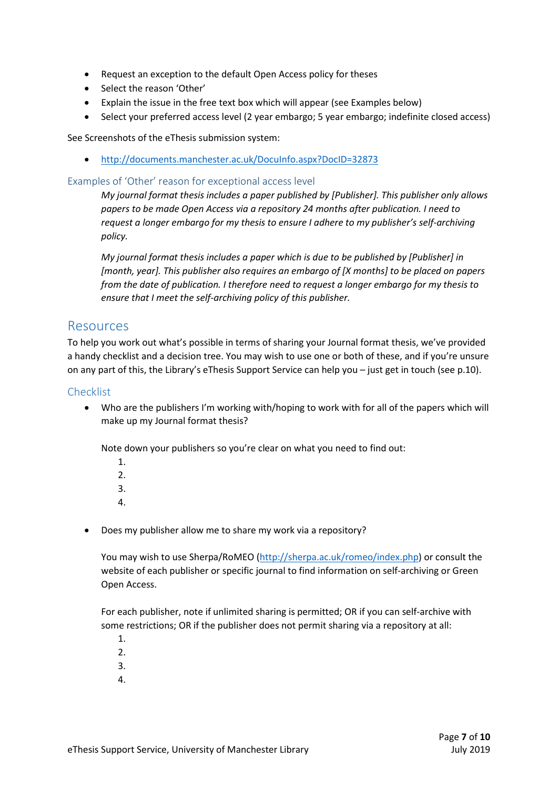- Request an exception to the default Open Access policy for theses
- Select the reason 'Other'
- Explain the issue in the free text box which will appear (see Examples below)
- Select your preferred access level (2 year embargo; 5 year embargo; indefinite closed access)

See Screenshots of the eThesis submission system:

http://documents.manchester.ac.uk/DocuInfo.aspx?DocID=32873

#### Examples of 'Other' reason for exceptional access level

My journal format thesis includes a paper published by [Publisher]. This publisher only allows papers to be made Open Access via a repository 24 months after publication. I need to request a longer embargo for my thesis to ensure I adhere to my publisher's self-archiving policy.

My journal format thesis includes a paper which is due to be published by [Publisher] in [month, year]. This publisher also requires an embargo of [X months] to be placed on papers from the date of publication. I therefore need to request a longer embargo for my thesis to ensure that I meet the self-archiving policy of this publisher.

### Resources

To help you work out what's possible in terms of sharing your Journal format thesis, we've provided a handy checklist and a decision tree. You may wish to use one or both of these, and if you're unsure on any part of this, the Library's eThesis Support Service can help you – just get in touch (see p.10).

### Checklist

 Who are the publishers I'm working with/hoping to work with for all of the papers which will make up my Journal format thesis?

Note down your publishers so you're clear on what you need to find out:

- 1. 2.
- 3.
- 
- 4.
- Does my publisher allow me to share my work via a repository?

You may wish to use Sherpa/RoMEO (http://sherpa.ac.uk/romeo/index.php) or consult the website of each publisher or specific journal to find information on self-archiving or Green Open Access.

For each publisher, note if unlimited sharing is permitted; OR if you can self-archive with some restrictions; OR if the publisher does not permit sharing via a repository at all:

- 1.
- 2.
- 3.
- 4.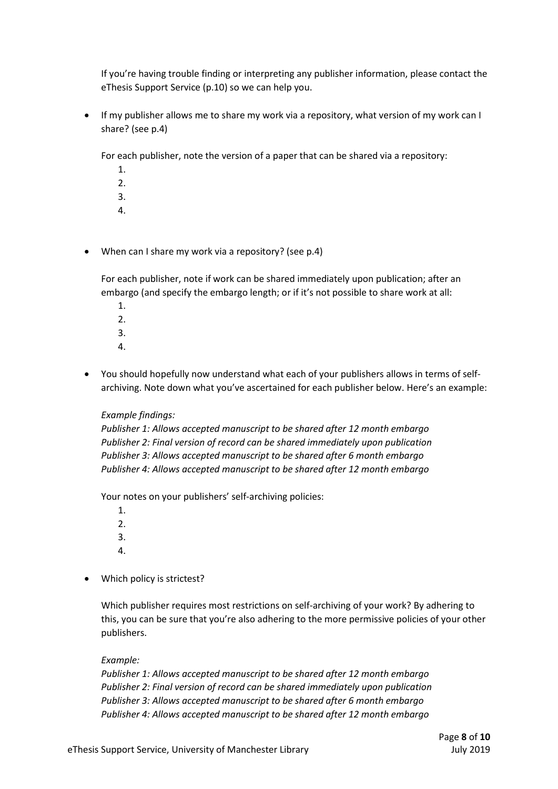If you're having trouble finding or interpreting any publisher information, please contact the eThesis Support Service (p.10) so we can help you.

 If my publisher allows me to share my work via a repository, what version of my work can I share? (see p.4)

For each publisher, note the version of a paper that can be shared via a repository:

- 1.  $2<sub>1</sub>$ 3.
- 4.
- When can I share my work via a repository? (see p.4)

For each publisher, note if work can be shared immediately upon publication; after an embargo (and specify the embargo length; or if it's not possible to share work at all:

- 1.  $2^{\circ}$ 3.
- 4.
- You should hopefully now understand what each of your publishers allows in terms of selfarchiving. Note down what you've ascertained for each publisher below. Here's an example:

#### Example findings:

Publisher 1: Allows accepted manuscript to be shared after 12 month embargo Publisher 2: Final version of record can be shared immediately upon publication Publisher 3: Allows accepted manuscript to be shared after 6 month embargo Publisher 4: Allows accepted manuscript to be shared after 12 month embargo

Your notes on your publishers' self-archiving policies:

- 1. 2. 3.
- 
- 4.
- Which policy is strictest?

Which publisher requires most restrictions on self-archiving of your work? By adhering to this, you can be sure that you're also adhering to the more permissive policies of your other publishers.

#### Example:

Publisher 1: Allows accepted manuscript to be shared after 12 month embargo Publisher 2: Final version of record can be shared immediately upon publication Publisher 3: Allows accepted manuscript to be shared after 6 month embargo Publisher 4: Allows accepted manuscript to be shared after 12 month embargo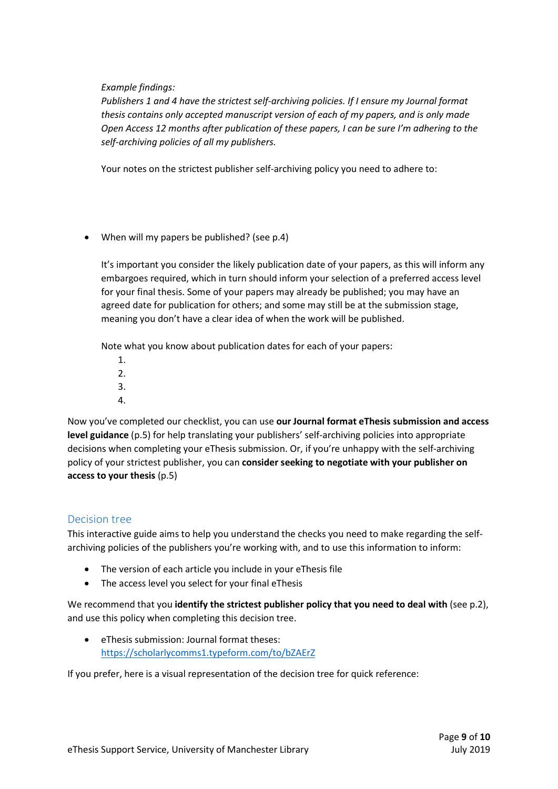Example findings:

Publishers 1 and 4 have the strictest self-archiving policies. If I ensure my Journal format thesis contains only accepted manuscript version of each of my papers, and is only made Open Access 12 months after publication of these papers, I can be sure I'm adhering to the self-archiving policies of all my publishers.

Your notes on the strictest publisher self-archiving policy you need to adhere to:

When will my papers be published? (see p.4)

It's important you consider the likely publication date of your papers, as this will inform any embargoes required, which in turn should inform your selection of a preferred access level for your final thesis. Some of your papers may already be published; you may have an agreed date for publication for others; and some may still be at the submission stage, meaning you don't have a clear idea of when the work will be published.

Note what you know about publication dates for each of your papers:

- 1. 2.
- 3.
- 4.

Now you've completed our checklist, you can use our Journal format eThesis submission and access level guidance (p.5) for help translating your publishers' self-archiving policies into appropriate decisions when completing your eThesis submission. Or, if you're unhappy with the self-archiving policy of your strictest publisher, you can consider seeking to negotiate with your publisher on access to your thesis (p.5)

### Decision tree

This interactive guide aims to help you understand the checks you need to make regarding the selfarchiving policies of the publishers you're working with, and to use this information to inform:

- The version of each article you include in your eThesis file
- The access level you select for your final eThesis

We recommend that you identify the strictest publisher policy that you need to deal with (see p.2), and use this policy when completing this decision tree.

 eThesis submission: Journal format theses: https://scholarlycomms1.typeform.com/to/bZAErZ

If you prefer, here is a visual representation of the decision tree for quick reference: